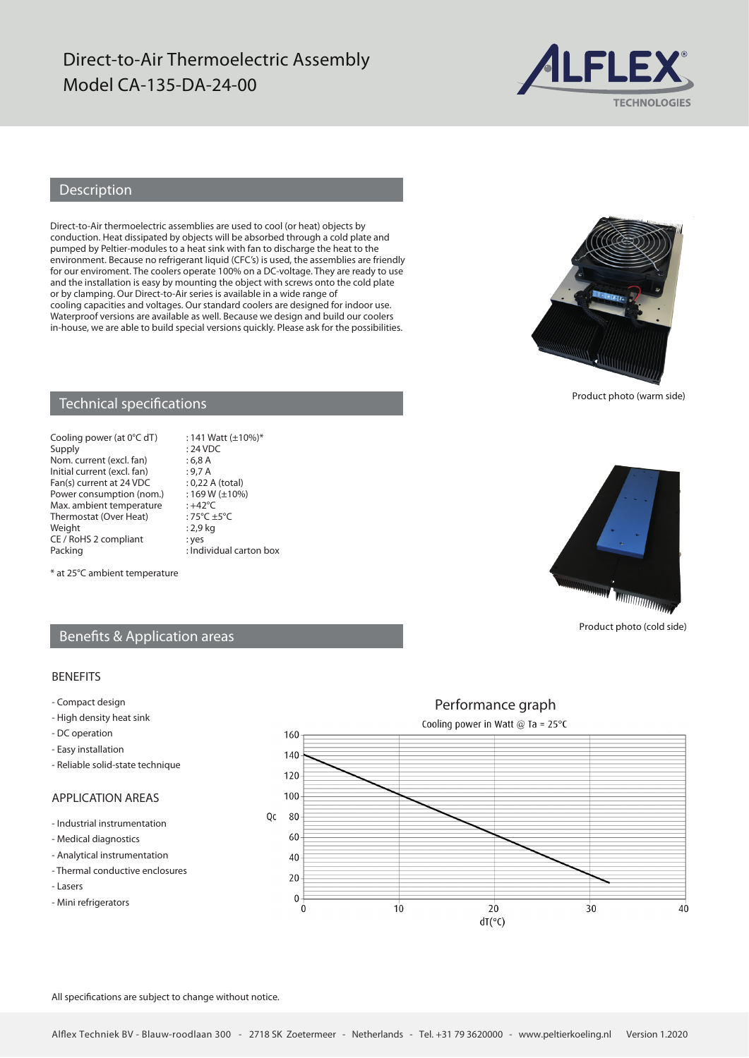# Direct-to-Air Thermoelectric Assembly Model CA-135-DA-24-00



## Description

Direct-to-Air thermoelectric assemblies are used to cool (or heat) objects by conduction. Heat dissipated by objects will be absorbed through a cold plate and pumped by Peltier-modules to a heat sink with fan to discharge the heat to the environment. Because no refrigerant liquid (CFC's) is used, the assemblies are friendly for our enviroment. The coolers operate 100% on a DC-voltage. They are ready to use and the installation is easy by mounting the object with screws onto the cold plate or by clamping. Our Direct-to-Air series is available in a wide range of cooling capacities and voltages. Our standard coolers are designed for indoor use. Waterproof versions are available as well. Because we design and build our coolers in-house, we are able to build special versions quickly. Please ask for the possibilities.



Product photo (warm side)

#### Technical specifications

Cooling power (at  $0^{\circ}$ C dT) : 141 Watt (±10%)\*<br>Supply : 24 VDC Nom. current (excl. fan) : 6,8 A<br>Initial current (excl. fan) : 9,7 A Initial current (excl. fan) : 9,7 A<br>Fan(s) current at 24 VDC : 0,22 A (total) Fan(s) current at 24 VDC : 0,22 A (total)<br>Power consumption (nom.) : 169 W ( $\pm$ 10%) Power consumption (nom.) :  $169 \text{ W}$ <br>Max ambient temperature :  $+42\text{°C}$ Max. ambient temperature : +42°C<br>Thermostat (Over Heat) : 75°C +5°C Thermostat (Over Heat) :  $75^{\circ}C \pm$ <br>Weight : 2,9 kg Weight CE / RoHS 2 compliant : yes<br>Packing : Ind

 $: 24$  VDC  $:$  Individual carton box

**WINDOW WINDOW** 

Product photo (cold side)

#### \* at 25°C ambient temperature

#### Benefits & Application areas

#### BENEFITS

- Compact design
- High density heat sink
- DC operation
- Easy installation
- Reliable solid-state technique

## APPLICATION AREAS

- Industrial instrumentation
- Medical diagnostics
- Analytical instrumentation
- Thermal conductive enclosures
- Lasers
- Mini refrigerators

Performance graph Cooling power in Watt @ Ta =  $25^{\circ}$ C 160 140 120 100 Qc 80 60 40  $20$  $\theta$  $\Omega$  $10$ 20  $\overline{3}0$  $\overline{40}$  $dT(°C)$ 

All specifications are subject to change without notice.